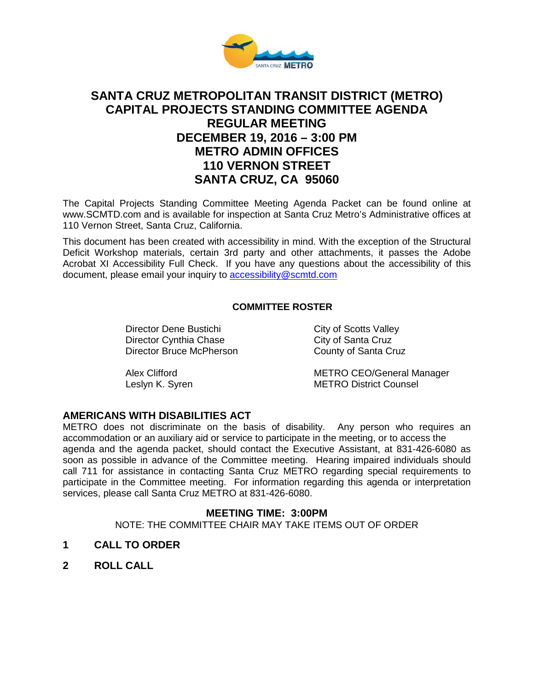

# **SANTA CRUZ METROPOLITAN TRANSIT DISTRICT (METRO) CAPITAL PROJECTS STANDING COMMITTEE AGENDA REGULAR MEETING DECEMBER 19, 2016 – 3:00 PM METRO ADMIN OFFICES 110 VERNON STREET SANTA CRUZ, CA 95060**

The Capital Projects Standing Committee Meeting Agenda Packet can be found online at www.SCMTD.com and is available for inspection at Santa Cruz Metro's Administrative offices at 110 Vernon Street, Santa Cruz, California.

This document has been created with accessibility in mind. With the exception of the Structural Deficit Workshop materials, certain 3rd party and other attachments, it passes the Adobe Acrobat XI Accessibility Full Check. If you have any questions about the accessibility of this document, please email your inquiry to [accessibility@scmtd.com](mailto:accessibility@scmtd.com)

# **COMMITTEE ROSTER**

Director Dene Bustichi City of Scotts Valley<br>
Director Cynthia Chase City of Santa Cruz Director Cynthia Chase<br>
Director Bruce McPherson<br>
County of Santa Cruz Director Bruce McPherson

Alex Clifford **METRO CEO/General Manager** Leslyn K. Syren **METRO District Counsel** 

## **AMERICANS WITH DISABILITIES ACT**

METRO does not discriminate on the basis of disability. Any person who requires an accommodation or an auxiliary aid or service to participate in the meeting, or to access the agenda and the agenda packet, should contact the Executive Assistant, at 831-426-6080 as soon as possible in advance of the Committee meeting. Hearing impaired individuals should call 711 for assistance in contacting Santa Cruz METRO regarding special requirements to participate in the Committee meeting. For information regarding this agenda or interpretation services, please call Santa Cruz METRO at 831-426-6080.

## **MEETING TIME: 3:00PM**

NOTE: THE COMMITTEE CHAIR MAY TAKE ITEMS OUT OF ORDER

- **1 CALL TO ORDER**
- **2 ROLL CALL**